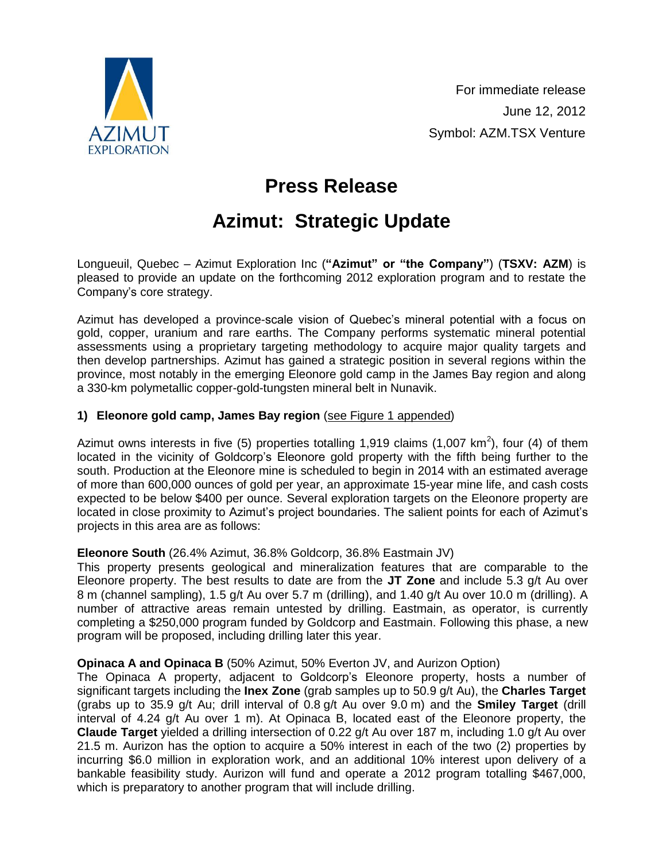

# **Press Release**

# **Azimut: Strategic Update**

Longueuil, Quebec – Azimut Exploration Inc (**"Azimut" or "the Company"**) (**TSXV: AZM**) is pleased to provide an update on the forthcoming 2012 exploration program and to restate the Company's core strategy.

Azimut has developed a province-scale vision of Quebec's mineral potential with a focus on gold, copper, uranium and rare earths. The Company performs systematic mineral potential assessments using a proprietary targeting methodology to acquire major quality targets and then develop partnerships. Azimut has gained a strategic position in several regions within the province, most notably in the emerging Eleonore gold camp in the James Bay region and along a 330-km polymetallic copper-gold-tungsten mineral belt in Nunavik.

## **1) Eleonore gold camp, James Bay region** [\(see Figure 1 appended\)](http://www.azimut-exploration.com/en/presentations/AZM_StrategicUpdate_June2012_Fig1.pdf)

Azimut owns interests in five (5) properties totalling 1,919 claims (1,007 km<sup>2</sup>), four (4) of them located in the vicinity of Goldcorp's Eleonore gold property with the fifth being further to the south. Production at the Eleonore mine is scheduled to begin in 2014 with an estimated average of more than 600,000 ounces of gold per year, an approximate 15-year mine life, and cash costs expected to be below \$400 per ounce. Several exploration targets on the Eleonore property are located in close proximity to Azimut's project boundaries. The salient points for each of Azimut's projects in this area are as follows:

## **Eleonore South** (26.4% Azimut, 36.8% Goldcorp, 36.8% Eastmain JV)

This property presents geological and mineralization features that are comparable to the Eleonore property. The best results to date are from the **JT Zone** and include 5.3 g/t Au over 8 m (channel sampling), 1.5 g/t Au over 5.7 m (drilling), and 1.40 g/t Au over 10.0 m (drilling). A number of attractive areas remain untested by drilling. Eastmain, as operator, is currently completing a \$250,000 program funded by Goldcorp and Eastmain. Following this phase, a new program will be proposed, including drilling later this year.

## **Opinaca A and Opinaca B** (50% Azimut, 50% Everton JV, and Aurizon Option)

The Opinaca A property, adjacent to Goldcorp's Eleonore property, hosts a number of significant targets including the **Inex Zone** (grab samples up to 50.9 g/t Au), the **Charles Target** (grabs up to 35.9 g/t Au; drill interval of 0.8 g/t Au over 9.0 m) and the **Smiley Target** (drill interval of 4.24 g/t Au over 1 m). At Opinaca B, located east of the Eleonore property, the **Claude Target** yielded a drilling intersection of 0.22 g/t Au over 187 m, including 1.0 g/t Au over 21.5 m. Aurizon has the option to acquire a 50% interest in each of the two (2) properties by incurring \$6.0 million in exploration work, and an additional 10% interest upon delivery of a bankable feasibility study. Aurizon will fund and operate a 2012 program totalling \$467,000, which is preparatory to another program that will include drilling.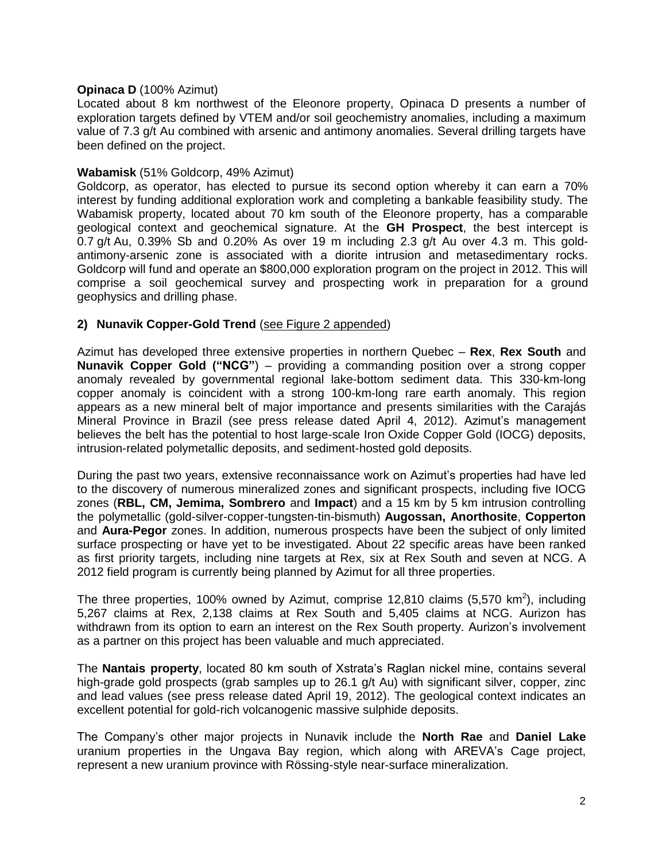#### **Opinaca D** (100% Azimut)

Located about 8 km northwest of the Eleonore property, Opinaca D presents a number of exploration targets defined by VTEM and/or soil geochemistry anomalies, including a maximum value of 7.3 g/t Au combined with arsenic and antimony anomalies. Several drilling targets have been defined on the project.

#### **Wabamisk** (51% Goldcorp, 49% Azimut)

Goldcorp, as operator, has elected to pursue its second option whereby it can earn a 70% interest by funding additional exploration work and completing a bankable feasibility study. The Wabamisk property, located about 70 km south of the Eleonore property, has a comparable geological context and geochemical signature. At the **GH Prospect**, the best intercept is 0.7 g/t Au, 0.39% Sb and 0.20% As over 19 m including 2.3 g/t Au over 4.3 m. This goldantimony-arsenic zone is associated with a diorite intrusion and metasedimentary rocks. Goldcorp will fund and operate an \$800,000 exploration program on the project in 2012. This will comprise a soil geochemical survey and prospecting work in preparation for a ground geophysics and drilling phase.

## **2) Nunavik Copper-Gold Trend** [\(see Figure 2 appended\)](http://www.azimut-exploration.com/en/presentations/AZM_StrategicUpdate_June2012_Fig2.pdf)

Azimut has developed three extensive properties in northern Quebec – **Rex**, **Rex South** and **Nunavik Copper Gold ("NCG"**) – providing a commanding position over a strong copper anomaly revealed by governmental regional lake-bottom sediment data. This 330-km-long copper anomaly is coincident with a strong 100-km-long rare earth anomaly. This region appears as a new mineral belt of major importance and presents similarities with the Carajás Mineral Province in Brazil (see press release dated April 4, 2012). Azimut's management believes the belt has the potential to host large-scale Iron Oxide Copper Gold (IOCG) deposits, intrusion-related polymetallic deposits, and sediment-hosted gold deposits.

During the past two years, extensive reconnaissance work on Azimut's properties had have led to the discovery of numerous mineralized zones and significant prospects, including five IOCG zones (**RBL, CM, Jemima, Sombrero** and **Impact**) and a 15 km by 5 km intrusion controlling the polymetallic (gold-silver-copper-tungsten-tin-bismuth) **Augossan, Anorthosite**, **Copperton**  and **Aura-Pegor** zones. In addition, numerous prospects have been the subject of only limited surface prospecting or have yet to be investigated. About 22 specific areas have been ranked as first priority targets, including nine targets at Rex, six at Rex South and seven at NCG. A 2012 field program is currently being planned by Azimut for all three properties.

The three properties, 100% owned by Azimut, comprise 12,810 claims (5,570 km<sup>2</sup>), including 5,267 claims at Rex, 2,138 claims at Rex South and 5,405 claims at NCG. Aurizon has withdrawn from its option to earn an interest on the Rex South property. Aurizon's involvement as a partner on this project has been valuable and much appreciated.

The **Nantais property**, located 80 km south of Xstrata's Raglan nickel mine, contains several high-grade gold prospects (grab samples up to 26.1 g/t Au) with significant silver, copper, zinc and lead values (see press release dated April 19, 2012). The geological context indicates an excellent potential for gold-rich volcanogenic massive sulphide deposits.

The Company's other major projects in Nunavik include the **North Rae** and **Daniel Lake** uranium properties in the Ungava Bay region, which along with AREVA's Cage project, represent a new uranium province with Rössing-style near-surface mineralization.